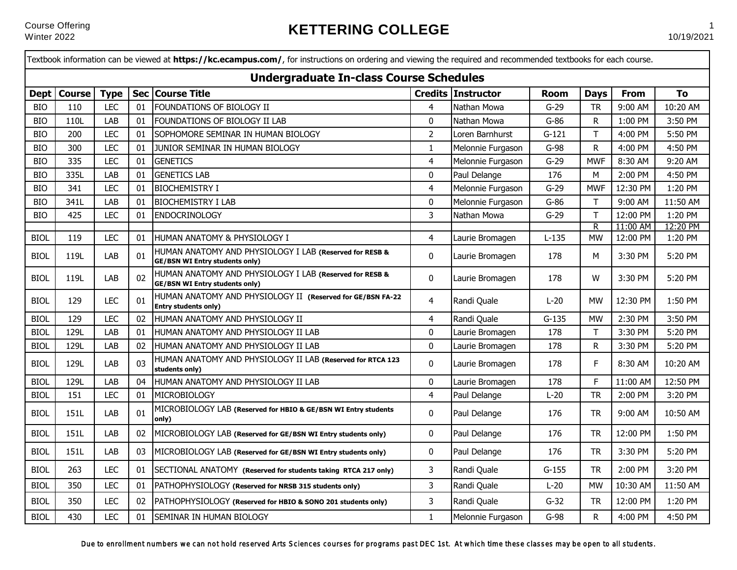|             |               |             |            | Textbook information can be viewed at <b>https://kc.ecampus.com/</b> , for instructions on ordering and viewing the required and recommended textbooks for each course.<br><b>Undergraduate In-class Course Schedules</b> |                |                    |             |              |             |          |
|-------------|---------------|-------------|------------|---------------------------------------------------------------------------------------------------------------------------------------------------------------------------------------------------------------------------|----------------|--------------------|-------------|--------------|-------------|----------|
| <b>Dept</b> | <b>Course</b> | <b>Type</b> | <b>Sec</b> | <b>Course Title</b>                                                                                                                                                                                                       |                | Credits Instructor | <b>Room</b> | <b>Days</b>  | <b>From</b> | To       |
| <b>BIO</b>  | 110           | <b>LEC</b>  | 01         | FOUNDATIONS OF BIOLOGY II                                                                                                                                                                                                 | 4              | Nathan Mowa        | $G-29$      | <b>TR</b>    | 9:00 AM     | 10:20 AM |
| <b>BIO</b>  | 110L          | LAB         | 01         | FOUNDATIONS OF BIOLOGY II LAB                                                                                                                                                                                             | 0              | Nathan Mowa        | G-86        | R            | 1:00 PM     | 3:50 PM  |
| <b>BIO</b>  | 200           | <b>LEC</b>  | 01         | SOPHOMORE SEMINAR IN HUMAN BIOLOGY                                                                                                                                                                                        | $\overline{2}$ | Loren Barnhurst    | $G-121$     | $\top$       | 4:00 PM     | 5:50 PM  |
| <b>BIO</b>  | 300           | <b>LEC</b>  | 01         | JUNIOR SEMINAR IN HUMAN BIOLOGY                                                                                                                                                                                           | $\mathbf{1}$   | Melonnie Furgason  | $G-98$      | ${\sf R}$    | 4:00 PM     | 4:50 PM  |
| <b>BIO</b>  | 335           | <b>LEC</b>  | 01         | <b>GENETICS</b>                                                                                                                                                                                                           | $\overline{4}$ | Melonnie Furgason  | $G-29$      | <b>MWF</b>   | 8:30 AM     | 9:20 AM  |
| <b>BIO</b>  | 335L          | LAB         | 01         | <b>GENETICS LAB</b>                                                                                                                                                                                                       | $\mathbf 0$    | Paul Delange       | 176         | M            | 2:00 PM     | 4:50 PM  |
| <b>BIO</b>  | 341           | <b>LEC</b>  | 01         | <b>BIOCHEMISTRY I</b>                                                                                                                                                                                                     | 4              | Melonnie Furgason  | $G-29$      | <b>MWF</b>   | 12:30 PM    | 1:20 PM  |
| <b>BIO</b>  | 341L          | LAB         | 01         | <b>BIOCHEMISTRY I LAB</b>                                                                                                                                                                                                 | $\mathbf 0$    | Melonnie Furgason  | $G-86$      | Τ            | 9:00 AM     | 11:50 AM |
| <b>BIO</b>  | 425           | <b>LEC</b>  | 01         | ENDOCRINOLOGY                                                                                                                                                                                                             | 3              | Nathan Mowa        | $G-29$      | $\top$       | 12:00 PM    | 1:20 PM  |
|             |               |             |            |                                                                                                                                                                                                                           |                |                    |             | $\mathsf{R}$ | 11:00 AM    | 12:20 PM |
| <b>BIOL</b> | 119           | <b>LEC</b>  | 01         | HUMAN ANATOMY & PHYSIOLOGY I                                                                                                                                                                                              | 4              | Laurie Bromagen    | $L-135$     | <b>MW</b>    | 12:00 PM    | 1:20 PM  |
| <b>BIOL</b> | 119L          | LAB         | 01         | HUMAN ANATOMY AND PHYSIOLOGY I LAB (Reserved for RESB &<br><b>GE/BSN WI Entry students only)</b>                                                                                                                          | 0              | Laurie Bromagen    | 178         | M            | 3:30 PM     | 5:20 PM  |
| <b>BIOL</b> | 119L          | LAB         | 02         | HUMAN ANATOMY AND PHYSIOLOGY I LAB (Reserved for RESB &<br><b>GE/BSN WI Entry students only)</b>                                                                                                                          | 0              | Laurie Bromagen    | 178         | W            | 3:30 PM     | 5:20 PM  |
| <b>BIOL</b> | 129           | <b>LEC</b>  | 01         | HUMAN ANATOMY AND PHYSIOLOGY II (Reserved for GE/BSN FA-22<br>Entry students only)                                                                                                                                        | 4              | Randi Quale        | $L-20$      | <b>MW</b>    | 12:30 PM    | 1:50 PM  |
| <b>BIOL</b> | 129           | <b>LEC</b>  | 02         | HUMAN ANATOMY AND PHYSIOLOGY II                                                                                                                                                                                           | 4              | Randi Quale        | $G-135$     | <b>MW</b>    | 2:30 PM     | 3:50 PM  |
| <b>BIOL</b> | 129L          | LAB         | 01         | HUMAN ANATOMY AND PHYSIOLOGY II LAB                                                                                                                                                                                       | 0              | Laurie Bromagen    | 178         | Τ            | 3:30 PM     | 5:20 PM  |
| <b>BIOL</b> | 129L          | LAB         | 02         | HUMAN ANATOMY AND PHYSIOLOGY II LAB                                                                                                                                                                                       | 0              | Laurie Bromagen    | 178         | ${\sf R}$    | 3:30 PM     | 5:20 PM  |
| <b>BIOL</b> | 129L          | LAB         | 03         | HUMAN ANATOMY AND PHYSIOLOGY II LAB (Reserved for RTCA 123<br>students only)                                                                                                                                              | 0              | Laurie Bromagen    | 178         | F            | 8:30 AM     | 10:20 AM |
| <b>BIOL</b> | 129L          | LAB         | 04         | HUMAN ANATOMY AND PHYSIOLOGY II LAB                                                                                                                                                                                       | 0              | Laurie Bromagen    | 178         | $\mathsf F$  | 11:00 AM    | 12:50 PM |
| <b>BIOL</b> | 151           | <b>LEC</b>  | 01         | MICROBIOLOGY                                                                                                                                                                                                              | 4              | Paul Delange       | $L-20$      | <b>TR</b>    | 2:00 PM     | 3:20 PM  |
| <b>BIOL</b> | 151L          | LAB         | 01         | MICROBIOLOGY LAB (Reserved for HBIO & GE/BSN WI Entry students<br>only)                                                                                                                                                   | 0              | Paul Delange       | 176         | <b>TR</b>    | 9:00 AM     | 10:50 AM |
| <b>BIOL</b> | 151L          | LAB         | 02         | MICROBIOLOGY LAB (Reserved for GE/BSN WI Entry students only)                                                                                                                                                             | 0              | Paul Delange       | 176         | <b>TR</b>    | 12:00 PM    | 1:50 PM  |
| <b>BIOL</b> | 151L          | LAB         | 03         | MICROBIOLOGY LAB (Reserved for GE/BSN WI Entry students only)                                                                                                                                                             | 0              | Paul Delange       | 176         | <b>TR</b>    | 3:30 PM     | 5:20 PM  |
| <b>BIOL</b> | 263           | <b>LEC</b>  | 01         | SECTIONAL ANATOMY (Reserved for students taking RTCA 217 only)                                                                                                                                                            | 3              | Randi Quale        | $G-155$     | <b>TR</b>    | 2:00 PM     | 3:20 PM  |
| <b>BIOL</b> | 350           | <b>LEC</b>  | 01         | PATHOPHYSIOLOGY (Reserved for NRSB 315 students only)                                                                                                                                                                     | 3              | Randi Quale        | $L-20$      | <b>MW</b>    | 10:30 AM    | 11:50 AM |
| <b>BIOL</b> | 350           | <b>LEC</b>  | 02         | PATHOPHYSIOLOGY (Reserved for HBIO & SONO 201 students only)                                                                                                                                                              | 3              | Randi Quale        | $G-32$      | <b>TR</b>    | 12:00 PM    | 1:20 PM  |
| <b>BIOL</b> | 430           | <b>LEC</b>  | 01         | <b>SEMINAR IN HUMAN BIOLOGY</b>                                                                                                                                                                                           | $\mathbf{1}$   | Melonnie Furgason  | $G-98$      | $\mathsf{R}$ | 4:00 PM     | 4:50 PM  |

Due to enrollment numbers we can not hold reserved Arts Sciences courses for programs past DEC 1st. At which time these classes may be open to all students.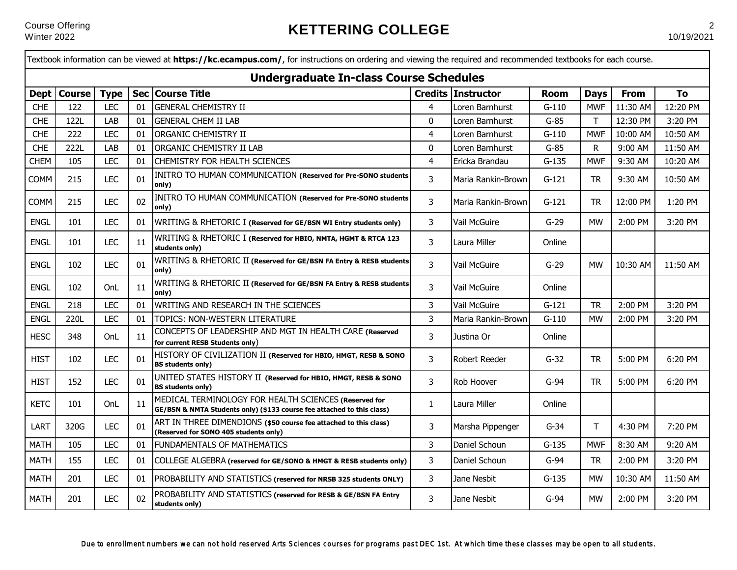|             | Textbook information can be viewed at https://kc.ecampus.com/, for instructions on ordering and viewing the required and recommended textbooks for each course. |             |    |                                                                                                                                 |                         |                           |             |             |             |          |
|-------------|-----------------------------------------------------------------------------------------------------------------------------------------------------------------|-------------|----|---------------------------------------------------------------------------------------------------------------------------------|-------------------------|---------------------------|-------------|-------------|-------------|----------|
|             |                                                                                                                                                                 |             |    | <b>Undergraduate In-class Course Schedules</b>                                                                                  |                         |                           |             |             |             |          |
| <b>Dept</b> | <b>Course</b>                                                                                                                                                   | <b>Type</b> |    | Sec Course Title                                                                                                                |                         | <b>Credits Instructor</b> | <b>Room</b> | <b>Days</b> | <b>From</b> | To       |
| <b>CHE</b>  | 122                                                                                                                                                             | <b>LEC</b>  | 01 | <b>GENERAL CHEMISTRY II</b>                                                                                                     | 4                       | Loren Barnhurst           | $G-110$     | <b>MWF</b>  | 11:30 AM    | 12:20 PM |
| <b>CHE</b>  | 122L                                                                                                                                                            | LAB         | 01 | <b>GENERAL CHEM II LAB</b>                                                                                                      | $\mathbf{0}$            | Loren Barnhurst           | $G-85$      | T.          | 12:30 PM    | 3:20 PM  |
| <b>CHE</b>  | 222                                                                                                                                                             | <b>LEC</b>  | 01 | <b>ORGANIC CHEMISTRY II</b>                                                                                                     | $\overline{\mathbf{r}}$ | Loren Barnhurst           | $G-110$     | <b>MWF</b>  | 10:00 AM    | 10:50 AM |
| <b>CHE</b>  | 222L                                                                                                                                                            | LAB         | 01 | ORGANIC CHEMISTRY II LAB                                                                                                        | 0                       | Loren Barnhurst           | $G-85$      | R.          | 9:00 AM     | 11:50 AM |
| CHEM        | 105                                                                                                                                                             | <b>LEC</b>  | 01 | <b>CHEMISTRY FOR HEALTH SCIENCES</b>                                                                                            | $\overline{4}$          | Ericka Brandau            | $G-135$     | <b>MWF</b>  | 9:30 AM     | 10:20 AM |
| <b>COMM</b> | 215                                                                                                                                                             | <b>LEC</b>  | 01 | INITRO TO HUMAN COMMUNICATION (Reserved for Pre-SONO students<br>only)                                                          | 3                       | Maria Rankin-Brown        | $G-121$     | TR          | 9:30 AM     | 10:50 AM |
| <b>COMM</b> | 215                                                                                                                                                             | <b>LEC</b>  | 02 | INITRO TO HUMAN COMMUNICATION (Reserved for Pre-SONO students<br>only)                                                          | 3                       | Maria Rankin-Brown        | G-121       | <b>TR</b>   | 12:00 PM    | 1:20 PM  |
| <b>ENGL</b> | 101                                                                                                                                                             | <b>LEC</b>  | 01 | WRITING & RHETORIC I (Reserved for GE/BSN WI Entry students only)                                                               | 3                       | Vail McGuire              | $G-29$      | <b>MW</b>   | 2:00 PM     | 3:20 PM  |
| <b>ENGL</b> | 101                                                                                                                                                             | <b>LEC</b>  | 11 | WRITING & RHETORIC I (Reserved for HBIO, NMTA, HGMT & RTCA 123<br>students only)                                                | 3                       | Laura Miller              | Online      |             |             |          |
| <b>ENGL</b> | 102                                                                                                                                                             | <b>LEC</b>  | 01 | WRITING & RHETORIC II (Reserved for GE/BSN FA Entry & RESB students<br>only)                                                    | 3                       | Vail McGuire              | $G-29$      | <b>MW</b>   | 10:30 AM    | 11:50 AM |
| <b>ENGL</b> | 102                                                                                                                                                             | OnL         | 11 | WRITING & RHETORIC II (Reserved for GE/BSN FA Entry & RESB students<br>only)                                                    | 3                       | Vail McGuire              | Online      |             |             |          |
| <b>ENGL</b> | 218                                                                                                                                                             | <b>LEC</b>  | 01 | WRITING AND RESEARCH IN THE SCIENCES                                                                                            | 3                       | Vail McGuire              | $G-121$     | <b>TR</b>   | 2:00 PM     | 3:20 PM  |
| <b>ENGL</b> | 220L                                                                                                                                                            | <b>LEC</b>  | 01 | TOPICS: NON-WESTERN LITERATURE                                                                                                  | 3                       | Maria Rankin-Brown        | $G-110$     | <b>MW</b>   | 2:00 PM     | 3:20 PM  |
| <b>HESC</b> | 348                                                                                                                                                             | OnL         | 11 | CONCEPTS OF LEADERSHIP AND MGT IN HEALTH CARE (Reserved<br>for current RESB Students only)                                      | 3                       | Justina Or                | Online      |             |             |          |
| <b>HIST</b> | 102                                                                                                                                                             | <b>LEC</b>  | 01 | HISTORY OF CIVILIZATION II (Reserved for HBIO, HMGT, RESB & SONO<br><b>BS students only)</b>                                    | 3                       | Robert Reeder             | G-32        | TR          | 5:00 PM     | 6:20 PM  |
| <b>HIST</b> | 152                                                                                                                                                             | <b>LEC</b>  | 01 | UNITED STATES HISTORY II (Reserved for HBIO, HMGT, RESB & SONO<br><b>BS students only)</b>                                      | 3                       | Rob Hoover                | G-94        | TR          | 5:00 PM     | 6:20 PM  |
| <b>KETC</b> | 101                                                                                                                                                             | OnL         | 11 | MEDICAL TERMINOLOGY FOR HEALTH SCIENCES (Reserved for<br>GE/BSN & NMTA Students only) (\$133 course fee attached to this class) | $\mathbf{1}$            | Laura Miller              | Online      |             |             |          |
| LART        | 320G                                                                                                                                                            | <b>LEC</b>  | 01 | ART IN THREE DIMENDIONS (\$50 course fee attached to this class)<br>(Reserved for SONO 405 students only)                       | 3                       | Marsha Pippenger          | $G-34$      | T           | 4:30 PM     | 7:20 PM  |
| <b>MATH</b> | 105                                                                                                                                                             | <b>LEC</b>  | 01 | <b>FUNDAMENTALS OF MATHEMATICS</b>                                                                                              | 3                       | Daniel Schoun             | $G-135$     | <b>MWF</b>  | 8:30 AM     | 9:20 AM  |
| <b>MATH</b> | 155                                                                                                                                                             | <b>LEC</b>  | 01 | COLLEGE ALGEBRA (reserved for GE/SONO & HMGT & RESB students only)                                                              | 3                       | Daniel Schoun             | G-94        | TR          | 2:00 PM     | 3:20 PM  |
| <b>MATH</b> | 201                                                                                                                                                             | <b>LEC</b>  | 01 | PROBABILITY AND STATISTICS (reserved for NRSB 325 students ONLY)                                                                | 3                       | Jane Nesbit               | $G-135$     | <b>MW</b>   | 10:30 AM    | 11:50 AM |
| <b>MATH</b> | 201                                                                                                                                                             | <b>LEC</b>  | 02 | PROBABILITY AND STATISTICS (reserved for RESB & GE/BSN FA Entry<br>students only)                                               | 3                       | Jane Nesbit               | $G-94$      | <b>MW</b>   | 2:00 PM     | 3:20 PM  |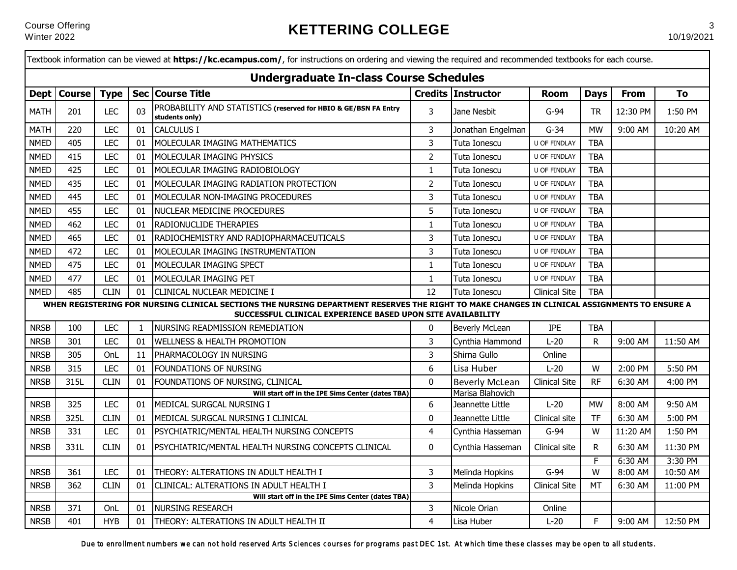|             |               |             |                | Textbook information can be viewed at https://kc.ecampus.com/, for instructions on ordering and viewing the required and recommended textbooks for each course.                                             |                     |                       |                      |              |             |          |
|-------------|---------------|-------------|----------------|-------------------------------------------------------------------------------------------------------------------------------------------------------------------------------------------------------------|---------------------|-----------------------|----------------------|--------------|-------------|----------|
|             |               |             |                | <b>Undergraduate In-class Course Schedules</b>                                                                                                                                                              |                     |                       |                      |              |             |          |
| <b>Dept</b> | <b>Course</b> | <b>Type</b> |                | Sec Course Title                                                                                                                                                                                            |                     | Credits Instructor    | <b>Room</b>          | <b>Days</b>  | <b>From</b> | To       |
| <b>MATH</b> | 201           | <b>LEC</b>  | 0 <sub>3</sub> | PROBABILITY AND STATISTICS (reserved for HBIO & GE/BSN FA Entry<br>students only)                                                                                                                           | 3                   | Jane Nesbit           | $G-94$               | <b>TR</b>    | 12:30 PM    | 1:50 PM  |
| <b>MATH</b> | 220           | <b>LEC</b>  | 01             | CALCULUS I                                                                                                                                                                                                  | 3                   | Jonathan Engelman     | $G-34$               | <b>MW</b>    | 9:00 AM     | 10:20 AM |
| <b>NMED</b> | 405           | <b>LEC</b>  | 01             | MOLECULAR IMAGING MATHEMATICS                                                                                                                                                                               | 3                   | Tuta Ionescu          | U OF FINDLAY         | <b>TBA</b>   |             |          |
| <b>NMED</b> | 415           | <b>LEC</b>  | 01             | MOLECULAR IMAGING PHYSICS                                                                                                                                                                                   | $\overline{2}$      | Tuta Ionescu          | U OF FINDLAY         | <b>TBA</b>   |             |          |
| <b>NMED</b> | 425           | <b>LEC</b>  | 01             | MOLECULAR IMAGING RADIOBIOLOGY                                                                                                                                                                              | $\mathbf{1}$        | Tuta Ionescu          | U OF FINDLAY         | <b>TBA</b>   |             |          |
| <b>NMED</b> | 435           | <b>LEC</b>  | 01             | MOLECULAR IMAGING RADIATION PROTECTION                                                                                                                                                                      | $\overline{2}$      | Tuta Ionescu          | U OF FINDLAY         | <b>TBA</b>   |             |          |
| <b>NMED</b> | 445           | <b>LEC</b>  | 01             | MOLECULAR NON-IMAGING PROCEDURES                                                                                                                                                                            | 3                   | Tuta Ionescu          | U OF FINDLAY         | <b>TBA</b>   |             |          |
| <b>NMED</b> | 455           | <b>LEC</b>  | 01             | NUCLEAR MEDICINE PROCEDURES                                                                                                                                                                                 | 5                   | Tuta Ionescu          | U OF FINDLAY         | <b>TBA</b>   |             |          |
| <b>NMED</b> | 462           | LEC         | 01             | <b>RADIONUCLIDE THERAPIES</b>                                                                                                                                                                               | $\mathbf{1}$        | Tuta Ionescu          | U OF FINDLAY         | <b>TBA</b>   |             |          |
| <b>NMED</b> | 465           | <b>LEC</b>  | 01             | RADIOCHEMISTRY AND RADIOPHARMACEUTICALS                                                                                                                                                                     | 3                   | Tuta Ionescu          | U OF FINDLAY         | <b>TBA</b>   |             |          |
| <b>NMED</b> | 472           | <b>LEC</b>  | 01             | MOLECULAR IMAGING INSTRUMENTATION                                                                                                                                                                           | 3                   | Tuta Ionescu          | U OF FINDLAY         | <b>TBA</b>   |             |          |
| <b>NMED</b> | 475           | <b>LEC</b>  | 01             | MOLECULAR IMAGING SPECT                                                                                                                                                                                     | $\mathbf{1}$        | Tuta Ionescu          | U OF FINDLAY         | <b>TBA</b>   |             |          |
| <b>NMED</b> | 477           | <b>LEC</b>  | 01             | MOLECULAR IMAGING PET                                                                                                                                                                                       | $\mathbf{1}$        | Tuta Ionescu          | U OF FINDLAY         | <b>TBA</b>   |             |          |
| <b>NMED</b> | 485           | <b>CLIN</b> | 01             | <b>CLINICAL NUCLEAR MEDICINE I</b>                                                                                                                                                                          | 12                  | Tuta Ionescu          | <b>Clinical Site</b> | <b>TBA</b>   |             |          |
|             |               |             |                | WHEN REGISTERING FOR NURSING CLINICAL SECTIONS THE NURSING DEPARTMENT RESERVES THE RIGHT TO MAKE CHANGES IN CLINICAL ASSIGNMENTS TO ENSURE A<br>SUCCESSFUL CLINICAL EXPERIENCE BASED UPON SITE AVAILABILITY |                     |                       |                      |              |             |          |
| <b>NRSB</b> | 100           | <b>LEC</b>  | 1              | INURSING READMISSION REMEDIATION                                                                                                                                                                            | 0                   | <b>Beverly McLean</b> | IPE                  | <b>TBA</b>   |             |          |
| <b>NRSB</b> | 301           | <b>LEC</b>  | 01             | <b>I</b> WELLNESS & HEALTH PROMOTION                                                                                                                                                                        | 3                   | Cynthia Hammond       | $L-20$               | R            | 9:00 AM     | 11:50 AM |
| <b>NRSB</b> | 305           | OnL         | 11             | PHARMACOLOGY IN NURSING                                                                                                                                                                                     | $\overline{3}$      | Shirna Gullo          | Online               |              |             |          |
| <b>NRSB</b> | 315           | <b>LEC</b>  | 01             | FOUNDATIONS OF NURSING                                                                                                                                                                                      | 6                   | Lisa Huber            | $L-20$               | W            | 2:00 PM     | 5:50 PM  |
| <b>NRSB</b> | 315L          | <b>CLIN</b> | 01             | FOUNDATIONS OF NURSING, CLINICAL                                                                                                                                                                            | $\mathbf 0$         | <b>Beverly McLean</b> | <b>Clinical Site</b> | <b>RF</b>    | 6:30 AM     | 4:00 PM  |
|             |               |             |                | Will start off in the IPE Sims Center (dates TBA)                                                                                                                                                           |                     | Marisa Blahovich      |                      |              |             |          |
| <b>NRSB</b> | 325           | <b>LEC</b>  | 01             | MEDICAL SURGCAL NURSING I                                                                                                                                                                                   | 6                   | Jeannette Little      | $L-20$               | <b>MW</b>    | 8:00 AM     | 9:50 AM  |
| <b>NRSB</b> | 325L          | <b>CLIN</b> | 01             | MEDICAL SURGCAL NURSING I CLINICAL                                                                                                                                                                          | $\pmb{0}$           | Jeannette Little      | Clinical site        | TF           | 6:30 AM     | 5:00 PM  |
| <b>NRSB</b> | 331           | <b>LEC</b>  | 01             | PSYCHIATRIC/MENTAL HEALTH NURSING CONCEPTS                                                                                                                                                                  | $\overline{4}$      | Cynthia Hasseman      | $G-94$               | W            | 11:20 AM    | 1:50 PM  |
| <b>NRSB</b> | 331L          | <b>CLIN</b> | 01             | PSYCHIATRIC/MENTAL HEALTH NURSING CONCEPTS CLINICAL                                                                                                                                                         | 0                   | Cynthia Hasseman      | Clinical site        | $\mathsf{R}$ | 6:30 AM     | 11:30 PM |
|             |               | <b>LEC</b>  |                |                                                                                                                                                                                                             |                     |                       |                      | F.<br>W      | 6:30 AM     | 3:30 PM  |
| <b>NRSB</b> | 361<br>362    | <b>CLIN</b> | 01             | THEORY: ALTERATIONS IN ADULT HEALTH I                                                                                                                                                                       | 3<br>$\overline{3}$ | Melinda Hopkins       | $G-94$               |              | 8:00 AM     | 10:50 AM |
| <b>NRSB</b> |               |             | 01             | CLINICAL: ALTERATIONS IN ADULT HEALTH I<br>Will start off in the IPE Sims Center (dates TBA)                                                                                                                |                     | Melinda Hopkins       | <b>Clinical Site</b> | MT           | 6:30 AM     | 11:00 PM |
| <b>NRSB</b> | 371           | OnL         | 01             | NURSING RESEARCH                                                                                                                                                                                            | $\overline{3}$      | Nicole Orian          | Online               |              |             |          |
| <b>NRSB</b> | 401           | <b>HYB</b>  | 01             | THEORY: ALTERATIONS IN ADULT HEALTH II                                                                                                                                                                      | $\overline{4}$      | Lisa Huber            | $L-20$               | F.           | 9:00 AM     | 12:50 PM |

Due to enrollment numbers we can not hold reserved Arts Sciences courses for programs past DEC 1st. At which time these classes may be open to all students.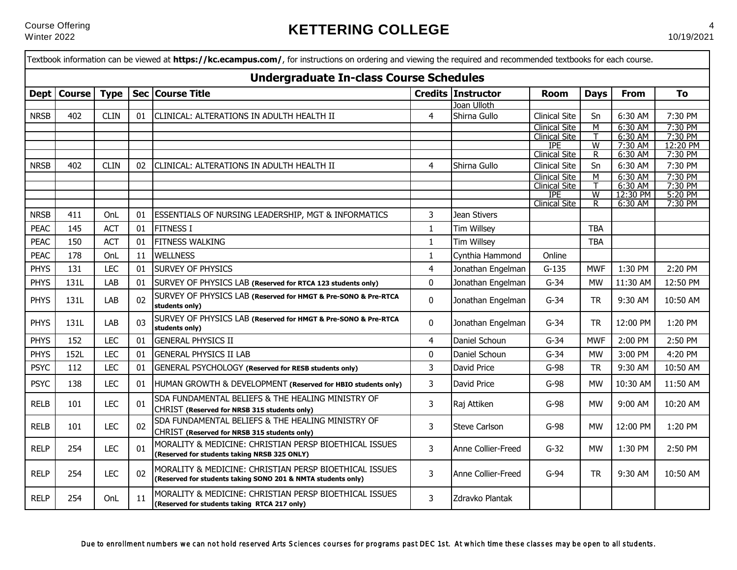л

|             |               |             |    | Textbook information can be viewed at <b>https://kc.ecampus.com/</b> , for instructions on ordering and viewing the required and recommended textbooks for each course. |                |                           |                                    |                |                     |                    |
|-------------|---------------|-------------|----|-------------------------------------------------------------------------------------------------------------------------------------------------------------------------|----------------|---------------------------|------------------------------------|----------------|---------------------|--------------------|
|             |               |             |    | <b>Undergraduate In-class Course Schedules</b>                                                                                                                          |                |                           |                                    |                |                     |                    |
| <b>Dept</b> | <b>Course</b> | <b>Type</b> |    | Sec   Course Title                                                                                                                                                      |                | <b>Credits Instructor</b> | <b>Room</b>                        | <b>Days</b>    | <b>From</b>         | To                 |
|             |               |             |    |                                                                                                                                                                         |                | Joan Ulloth               |                                    |                |                     |                    |
| <b>NRSB</b> | 402           | <b>CLIN</b> | 01 | CLINICAL: ALTERATIONS IN ADULTH HEALTH II                                                                                                                               | $\overline{4}$ | Shirna Gullo              | <b>Clinical Site</b>               | Sn             | 6:30 AM             | 7:30 PM            |
|             |               |             |    |                                                                                                                                                                         |                |                           | <b>Clinical Site</b>               | M              | 6:30 AM             | 7:30 PM            |
|             |               |             |    |                                                                                                                                                                         |                |                           | <b>Clinical Site</b>               | т              | 6:30 AM             | 7:30 PM            |
|             |               |             |    |                                                                                                                                                                         |                |                           | <b>IPE</b>                         | $\overline{W}$ | 7:30 AM             | 12:20 PM           |
|             |               |             |    |                                                                                                                                                                         |                |                           | <b>Clinical Site</b>               | <u>R</u>       | 6:30 AM             | 7:30 PM            |
| <b>NRSB</b> | 402           | <b>CLIN</b> | 02 | CLINICAL: ALTERATIONS IN ADULTH HEALTH II                                                                                                                               | 4              | Shirna Gullo              | <b>Clinical Site</b>               | Sn             | 6:30 AM             | 7:30 PM            |
|             |               |             |    |                                                                                                                                                                         |                |                           | <b>Clinical Site</b>               | M              | 6:30 AM             | 7:30 PM            |
|             |               |             |    |                                                                                                                                                                         |                |                           | <b>Clinical Site</b><br><b>IPE</b> |                | 6:30 AM<br>12:30 PM | 7:30 PM<br>5:20 PM |
|             |               |             |    |                                                                                                                                                                         |                |                           | <b>Clinical Site</b>               | W<br>R         | 6:30 AM             | 7:30 PM            |
| <b>NRSB</b> | 411           | OnL         | 01 | ESSENTIALS OF NURSING LEADERSHIP, MGT & INFORMATICS                                                                                                                     | 3              | Jean Stivers              |                                    |                |                     |                    |
| <b>PEAC</b> | 145           | <b>ACT</b>  | 01 | <b>FITNESS I</b>                                                                                                                                                        | $\mathbf{1}$   | <b>Tim Willsey</b>        |                                    | <b>TBA</b>     |                     |                    |
| <b>PEAC</b> | 150           | <b>ACT</b>  | 01 | <b>FITNESS WALKING</b>                                                                                                                                                  | $\mathbf{1}$   | <b>Tim Willsey</b>        |                                    | <b>TBA</b>     |                     |                    |
| <b>PEAC</b> | 178           | OnL         | 11 | <b>WELLNESS</b>                                                                                                                                                         | $\mathbf{1}$   | Cynthia Hammond           | Online                             |                |                     |                    |
| <b>PHYS</b> | 131           | <b>LEC</b>  | 01 | <b>SURVEY OF PHYSICS</b>                                                                                                                                                | $\overline{4}$ | Jonathan Engelman         | $G-135$                            | <b>MWF</b>     | 1:30 PM             | 2:20 PM            |
| <b>PHYS</b> | 131L          | LAB         | 01 | SURVEY OF PHYSICS LAB (Reserved for RTCA 123 students only)                                                                                                             | $\pmb{0}$      | Jonathan Engelman         | $G-34$                             | <b>MW</b>      | 11:30 AM            | 12:50 PM           |
| <b>PHYS</b> | 131L          | LAB         | 02 | SURVEY OF PHYSICS LAB (Reserved for HMGT & Pre-SONO & Pre-RTCA<br>students only)                                                                                        | 0              | Jonathan Engelman         | $G-34$                             | <b>TR</b>      | 9:30 AM             | 10:50 AM           |
| <b>PHYS</b> | 131L          | LAB         | 03 | SURVEY OF PHYSICS LAB (Reserved for HMGT & Pre-SONO & Pre-RTCA<br>students only)                                                                                        | 0              | Jonathan Engelman         | $G-34$                             | <b>TR</b>      | 12:00 PM            | 1:20 PM            |
| <b>PHYS</b> | 152           | <b>LEC</b>  | 01 | <b>GENERAL PHYSICS II</b>                                                                                                                                               | $\overline{4}$ | Daniel Schoun             | $G-34$                             | <b>MWF</b>     | 2:00 PM             | 2:50 PM            |
| <b>PHYS</b> | 152L          | <b>LEC</b>  | 01 | <b>GENERAL PHYSICS II LAB</b>                                                                                                                                           | $\mathbf 0$    | Daniel Schoun             | $G-34$                             | MW             | 3:00 PM             | 4:20 PM            |
| <b>PSYC</b> | 112           | <b>LEC</b>  | 01 | GENERAL PSYCHOLOGY (Reserved for RESB students only)                                                                                                                    | $\overline{3}$ | <b>David Price</b>        | $G-98$                             | <b>TR</b>      | 9:30 AM             | 10:50 AM           |
| <b>PSYC</b> | 138           | <b>LEC</b>  | 01 | HUMAN GROWTH & DEVELOPMENT (Reserved for HBIO students only)                                                                                                            | 3              | David Price               | $G-98$                             | <b>MW</b>      | 10:30 AM            | 11:50 AM           |
| <b>RELB</b> | 101           | <b>LEC</b>  | 01 | SDA FUNDAMENTAL BELIEFS & THE HEALING MINISTRY OF<br>CHRIST (Reserved for NRSB 315 students only)                                                                       | 3              | Raj Attiken               | $G-98$                             | <b>MW</b>      | 9:00 AM             | 10:20 AM           |
| <b>RELB</b> | 101           | <b>LEC</b>  | 02 | SDA FUNDAMENTAL BELIEFS & THE HEALING MINISTRY OF<br>CHRIST (Reserved for NRSB 315 students only)                                                                       | 3              | <b>Steve Carlson</b>      | $G-98$                             | <b>MW</b>      | 12:00 PM            | 1:20 PM            |
| <b>RELP</b> | 254           | <b>LEC</b>  | 01 | MORALITY & MEDICINE: CHRISTIAN PERSP BIOETHICAL ISSUES<br>(Reserved for students taking NRSB 325 ONLY)                                                                  | 3              | Anne Collier-Freed        | $G-32$                             | <b>MW</b>      | 1:30 PM             | 2:50 PM            |
| <b>RELP</b> | 254           | <b>LEC</b>  | 02 | MORALITY & MEDICINE: CHRISTIAN PERSP BIOETHICAL ISSUES<br>(Reserved for students taking SONO 201 & NMTA students only)                                                  | 3              | Anne Collier-Freed        | $G-94$                             | <b>TR</b>      | 9:30 AM             | 10:50 AM           |
| <b>RELP</b> | 254           | OnL         | 11 | MORALITY & MEDICINE: CHRISTIAN PERSP BIOETHICAL ISSUES<br>(Reserved for students taking RTCA 217 only)                                                                  | 3              | Zdravko Plantak           |                                    |                |                     |                    |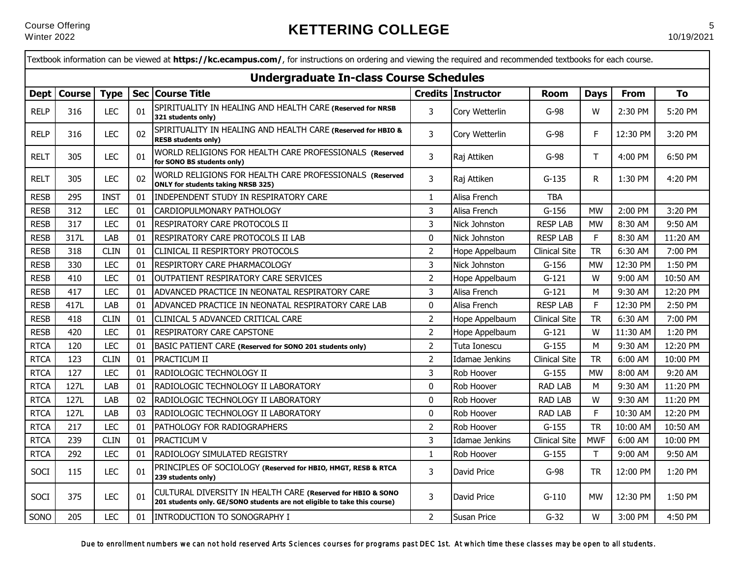|             |               |             |    | Textbook information can be viewed at https://kc.ecampus.com/, for instructions on ordering and viewing the required and recommended textbooks for each course. |                |                    |                      |             |             |          |
|-------------|---------------|-------------|----|-----------------------------------------------------------------------------------------------------------------------------------------------------------------|----------------|--------------------|----------------------|-------------|-------------|----------|
|             |               |             |    | <b>Undergraduate In-class Course Schedules</b>                                                                                                                  |                |                    |                      |             |             |          |
|             | Dept   Course | <b>Type</b> |    | Sec Course Title                                                                                                                                                |                | Credits Instructor | <b>Room</b>          | <b>Days</b> | <b>From</b> | To       |
| <b>RELP</b> | 316           | <b>LEC</b>  | 01 | SPIRITUALITY IN HEALING AND HEALTH CARE (Reserved for NRSB<br>321 students only)                                                                                | 3              | Cory Wetterlin     | $G-98$               | W           | 2:30 PM     | 5:20 PM  |
| <b>RELP</b> | 316           | <b>LEC</b>  | 02 | SPIRITUALITY IN HEALING AND HEALTH CARE (Reserved for HBIO &<br><b>RESB students only)</b>                                                                      | $\overline{3}$ | Cory Wetterlin     | $G-98$               | $\mathsf F$ | 12:30 PM    | 3:20 PM  |
| <b>RELT</b> | 305           | <b>LEC</b>  | 01 | WORLD RELIGIONS FOR HEALTH CARE PROFESSIONALS (Reserved<br>for SONO BS students only)                                                                           | 3              | Raj Attiken        | $G-98$               | T.          | 4:00 PM     | 6:50 PM  |
| <b>RELT</b> | 305           | <b>LEC</b>  | 02 | WORLD RELIGIONS FOR HEALTH CARE PROFESSIONALS (Reserved<br><b>ONLY for students taking NRSB 325)</b>                                                            | 3              | Raj Attiken        | $G-135$              | R           | 1:30 PM     | 4:20 PM  |
| <b>RESB</b> | 295           | <b>INST</b> | 01 | <b>INDEPENDENT STUDY IN RESPIRATORY CARE</b>                                                                                                                    | $\mathbf{1}$   | Alisa French       | <b>TBA</b>           |             |             |          |
| <b>RESB</b> | 312           | <b>LEC</b>  | 01 | CARDIOPULMONARY PATHOLOGY                                                                                                                                       | 3              | Alisa French       | $G-156$              | <b>MW</b>   | 2:00 PM     | 3:20 PM  |
| <b>RESB</b> | 317           | <b>LEC</b>  | 01 | <b>RESPIRATORY CARE PROTOCOLS II</b>                                                                                                                            | 3              | Nick Johnston      | <b>RESP LAB</b>      | <b>MW</b>   | 8:30 AM     | 9:50 AM  |
| <b>RESB</b> | 317L          | LAB         | 01 | <b>RESPIRATORY CARE PROTOCOLS II LAB</b>                                                                                                                        | $\pmb{0}$      | Nick Johnston      | <b>RESP LAB</b>      | F           | 8:30 AM     | 11:20 AM |
| <b>RESB</b> | 318           | <b>CLIN</b> | 01 | CLINICAL II RESPIRTORY PROTOCOLS                                                                                                                                | $\overline{2}$ | Hope Appelbaum     | <b>Clinical Site</b> | <b>TR</b>   | 6:30 AM     | 7:00 PM  |
| <b>RESB</b> | 330           | <b>LEC</b>  | 01 | RESPIRTORY CARE PHARMACOLOGY                                                                                                                                    | 3              | Nick Johnston      | $G-156$              | <b>MW</b>   | 12:30 PM    | 1:50 PM  |
| <b>RESB</b> | 410           | <b>LEC</b>  | 01 | OUTPATIENT RESPIRATORY CARE SERVICES                                                                                                                            | $\overline{2}$ | Hope Appelbaum     | $G-121$              | W           | 9:00 AM     | 10:50 AM |
| <b>RESB</b> | 417           | <b>LEC</b>  | 01 | ADVANCED PRACTICE IN NEONATAL RESPIRATORY CARE                                                                                                                  | 3              | Alisa French       | $G-121$              | M           | 9:30 AM     | 12:20 PM |
| <b>RESB</b> | 417L          | LAB         | 01 | ADVANCED PRACTICE IN NEONATAL RESPIRATORY CARE LAB                                                                                                              | 0              | Alisa French       | <b>RESP LAB</b>      | F           | 12:30 PM    | 2:50 PM  |
| <b>RESB</b> | 418           | <b>CLIN</b> | 01 | CLINICAL 5 ADVANCED CRITICAL CARE                                                                                                                               | $\overline{2}$ | Hope Appelbaum     | <b>Clinical Site</b> | <b>TR</b>   | 6:30 AM     | 7:00 PM  |
| <b>RESB</b> | 420           | <b>LEC</b>  | 01 | RESPIRATORY CARE CAPSTONE                                                                                                                                       | $\overline{2}$ | Hope Appelbaum     | $G-121$              | W           | 11:30 AM    | 1:20 PM  |
| <b>RTCA</b> | 120           | <b>LEC</b>  | 01 | BASIC PATIENT CARE (Reserved for SONO 201 students only)                                                                                                        | $\overline{2}$ | Tuta Ionescu       | $G-155$              | M           | 9:30 AM     | 12:20 PM |
| <b>RTCA</b> | 123           | <b>CLIN</b> | 01 | PRACTICUM II                                                                                                                                                    | $\overline{2}$ | Idamae Jenkins     | <b>Clinical Site</b> | <b>TR</b>   | 6:00 AM     | 10:00 PM |
| <b>RTCA</b> | 127           | <b>LEC</b>  | 01 | RADIOLOGIC TECHNOLOGY II                                                                                                                                        | 3              | Rob Hoover         | $G-155$              | <b>MW</b>   | 8:00 AM     | 9:20 AM  |
| <b>RTCA</b> | 127L          | LAB         | 01 | RADIOLOGIC TECHNOLOGY II LABORATORY                                                                                                                             | 0              | Rob Hoover         | <b>RAD LAB</b>       | M           | 9:30 AM     | 11:20 PM |
| <b>RTCA</b> | 127L          | LAB         | 02 | RADIOLOGIC TECHNOLOGY II LABORATORY                                                                                                                             | 0              | Rob Hoover         | <b>RAD LAB</b>       | W           | 9:30 AM     | 11:20 PM |
| <b>RTCA</b> | 127L          | LAB         | 03 | RADIOLOGIC TECHNOLOGY II LABORATORY                                                                                                                             | $\pmb{0}$      | Rob Hoover         | <b>RAD LAB</b>       | $\mathsf F$ | 10:30 AM    | 12:20 PM |
| <b>RTCA</b> | 217           | <b>LEC</b>  | 01 | PATHOLOGY FOR RADIOGRAPHERS                                                                                                                                     | $\overline{2}$ | Rob Hoover         | $G-155$              | <b>TR</b>   | 10:00 AM    | 10:50 AM |
| <b>RTCA</b> | 239           | <b>CLIN</b> | 01 | <b>PRACTICUM V</b>                                                                                                                                              | 3              | Idamae Jenkins     | <b>Clinical Site</b> | <b>MWF</b>  | 6:00 AM     | 10:00 PM |
| <b>RTCA</b> | 292           | <b>LEC</b>  | 01 | RADIOLOGY SIMULATED REGISTRY                                                                                                                                    | $\mathbf{1}$   | Rob Hoover         | $G-155$              | T           | 9:00 AM     | 9:50 AM  |
| SOCI        | 115           | <b>LEC</b>  | 01 | PRINCIPLES OF SOCIOLOGY (Reserved for HBIO, HMGT, RESB & RTCA<br>239 students only)                                                                             | 3              | David Price        | $G-98$               | <b>TR</b>   | 12:00 PM    | 1:20 PM  |
| SOCI        | 375           | <b>LEC</b>  | 01 | CULTURAL DIVERSITY IN HEALTH CARE (Reserved for HBIO & SONO<br>201 students only. GE/SONO students are not eligible to take this course)                        | 3              | David Price        | $G-110$              | <b>MW</b>   | 12:30 PM    | 1:50 PM  |
| SONO        | 205           | <b>LEC</b>  | 01 | <b>INTRODUCTION TO SONOGRAPHY I</b>                                                                                                                             | $\overline{2}$ | <b>Susan Price</b> | $G-32$               | W           | 3:00 PM     | 4:50 PM  |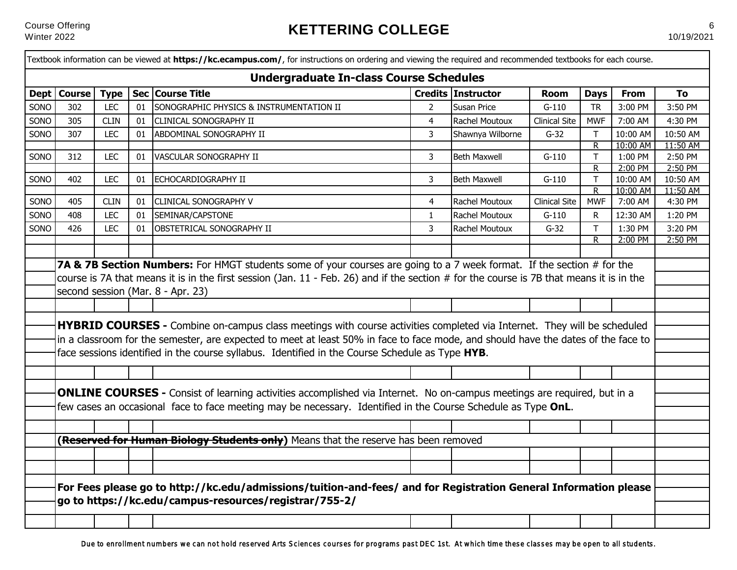|      |               |             |    | Textbook information can be viewed at https://kc.ecampus.com/, for instructions on ordering and viewing the required and recommended textbooks for each course.                                                                                                                                                 |                |                     |                      |                     |                     |                     |
|------|---------------|-------------|----|-----------------------------------------------------------------------------------------------------------------------------------------------------------------------------------------------------------------------------------------------------------------------------------------------------------------|----------------|---------------------|----------------------|---------------------|---------------------|---------------------|
|      |               |             |    | <b>Undergraduate In-class Course Schedules</b>                                                                                                                                                                                                                                                                  |                |                     |                      |                     |                     |                     |
|      | Dept   Course | <b>Type</b> |    | Sec Course Title                                                                                                                                                                                                                                                                                                |                | Credits Instructor  | <b>Room</b>          | <b>Days</b>         | <b>From</b>         | <b>To</b>           |
| SONO | 302           | <b>LEC</b>  | 01 | SONOGRAPHIC PHYSICS & INSTRUMENTATION II                                                                                                                                                                                                                                                                        | $\overline{2}$ | <b>Susan Price</b>  | $G-110$              | <b>TR</b>           | 3:00 PM             | 3:50 PM             |
| SONO | 305           | <b>CLIN</b> | 01 | <b>CLINICAL SONOGRAPHY II</b>                                                                                                                                                                                                                                                                                   | $\overline{4}$ | Rachel Moutoux      | <b>Clinical Site</b> | <b>MWF</b>          | 7:00 AM             | 4:30 PM             |
| SONO | 307           | <b>LEC</b>  | 01 | ABDOMINAL SONOGRAPHY II                                                                                                                                                                                                                                                                                         | 3              | Shawnya Wilborne    | $G-32$               | T.                  | 10:00 AM            | 10:50 AM            |
|      |               |             |    |                                                                                                                                                                                                                                                                                                                 |                |                     |                      | $\overline{R}$      | 10:00 AM            | 11:50 AM            |
| SONO | 312           | <b>LEC</b>  | 01 | VASCULAR SONOGRAPHY II                                                                                                                                                                                                                                                                                          | 3              | <b>Beth Maxwell</b> | $G-110$              | T.                  | 1:00 PM             | 2:50 PM             |
| SONO | 402           | <b>LEC</b>  |    | ECHOCARDIOGRAPHY II                                                                                                                                                                                                                                                                                             | 3              |                     |                      | $\overline{R}$<br>T | 2:00 PM<br>10:00 AM | 2:50 PM<br>10:50 AM |
|      |               |             | 01 |                                                                                                                                                                                                                                                                                                                 |                | <b>Beth Maxwell</b> | $G-110$              | $\overline{R}$      | 10:00 AM            | 11:50 AM            |
| SONO | 405           | <b>CLIN</b> | 01 | <b>CLINICAL SONOGRAPHY V</b>                                                                                                                                                                                                                                                                                    | 4              | Rachel Moutoux      | <b>Clinical Site</b> | <b>MWF</b>          | 7:00 AM             | 4:30 PM             |
| SONO | 408           | <b>LEC</b>  | 01 | SEMINAR/CAPSTONE                                                                                                                                                                                                                                                                                                | $\mathbf{1}$   | Rachel Moutoux      | $G-110$              | R                   | 12:30 AM            | 1:20 PM             |
| SONO | 426           | <b>LEC</b>  | 01 | <b>OBSTETRICAL SONOGRAPHY II</b>                                                                                                                                                                                                                                                                                | 3              | Rachel Moutoux      | $G-32$               | $\mathsf T$         | 1:30 PM             | 3:20 PM             |
|      |               |             |    |                                                                                                                                                                                                                                                                                                                 |                |                     |                      | $\overline{R}$      | 2:00 PM             | 2:50 PM             |
|      |               |             |    |                                                                                                                                                                                                                                                                                                                 |                |                     |                      |                     |                     |                     |
|      |               |             |    | course is 7A that means it is in the first session (Jan. 11 - Feb. 26) and if the section # for the course is 7B that means it is in the<br>second session (Mar. 8 - Apr. 23)<br><b>HYBRID COURSES</b> - Combine on-campus class meetings with course activities completed via Internet. They will be scheduled |                |                     |                      |                     |                     |                     |
|      |               |             |    | in a classroom for the semester, are expected to meet at least 50% in face to face mode, and should have the dates of the face to<br>face sessions identified in the course syllabus. Identified in the Course Schedule as Type HYB.                                                                            |                |                     |                      |                     |                     |                     |
|      |               |             |    |                                                                                                                                                                                                                                                                                                                 |                |                     |                      |                     |                     |                     |
|      |               |             |    | <b>ONLINE COURSES</b> - Consist of learning activities accomplished via Internet. No on-campus meetings are required, but in a<br>few cases an occasional face to face meeting may be necessary. Identified in the Course Schedule as Type OnL.                                                                 |                |                     |                      |                     |                     |                     |
|      |               |             |    | (Reserved for Human Biology Students only) Means that the reserve has been removed                                                                                                                                                                                                                              |                |                     |                      |                     |                     |                     |
|      |               |             |    |                                                                                                                                                                                                                                                                                                                 |                |                     |                      |                     |                     |                     |
|      |               |             |    |                                                                                                                                                                                                                                                                                                                 |                |                     |                      |                     |                     |                     |
|      |               |             |    |                                                                                                                                                                                                                                                                                                                 |                |                     |                      |                     |                     |                     |
|      |               |             |    | For Fees please go to http://kc.edu/admissions/tuition-and-fees/ and for Registration General Information please                                                                                                                                                                                                |                |                     |                      |                     |                     |                     |
|      |               |             |    | go to https://kc.edu/campus-resources/registrar/755-2/                                                                                                                                                                                                                                                          |                |                     |                      |                     |                     |                     |
|      |               |             |    |                                                                                                                                                                                                                                                                                                                 |                |                     |                      |                     |                     |                     |
|      |               |             |    |                                                                                                                                                                                                                                                                                                                 |                |                     |                      |                     |                     |                     |

Due to enrollment numbers we can not hold reserved Arts Sciences courses for programs past DEC 1st. At which time these classes may be open to all students.